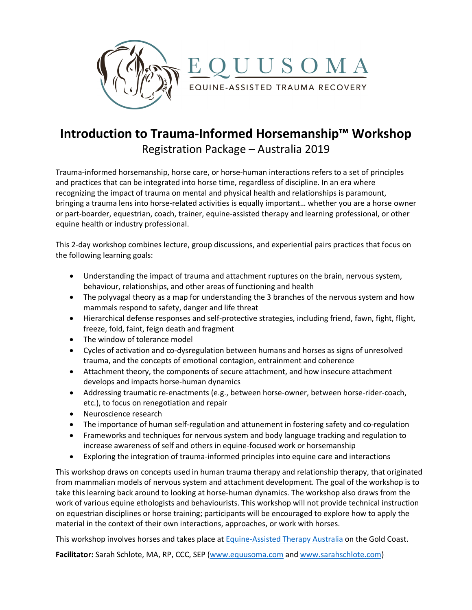

# **Introduction to Trauma-Informed Horsemanship™ Workshop** Registration Package – Australia 2019

Trauma-informed horsemanship, horse care, or horse-human interactions refers to a set of principles and practices that can be integrated into horse time, regardless of discipline. In an era where recognizing the impact of trauma on mental and physical health and relationships is paramount, bringing a trauma lens into horse-related activities is equally important… whether you are a horse owner or part-boarder, equestrian, coach, trainer, equine-assisted therapy and learning professional, or other equine health or industry professional.

This 2-day workshop combines lecture, group discussions, and experiential pairs practices that focus on the following learning goals:

- Understanding the impact of trauma and attachment ruptures on the brain, nervous system, behaviour, relationships, and other areas of functioning and health
- The polyvagal theory as a map for understanding the 3 branches of the nervous system and how mammals respond to safety, danger and life threat
- Hierarchical defense responses and self-protective strategies, including friend, fawn, fight, flight, freeze, fold, faint, feign death and fragment
- The window of tolerance model
- Cycles of activation and co-dysregulation between humans and horses as signs of unresolved trauma, and the concepts of emotional contagion, entrainment and coherence
- Attachment theory, the components of secure attachment, and how insecure attachment develops and impacts horse-human dynamics
- Addressing traumatic re-enactments (e.g., between horse-owner, between horse-rider-coach, etc.), to focus on renegotiation and repair
- Neuroscience research
- The importance of human self-regulation and attunement in fostering safety and co-regulation
- Frameworks and techniques for nervous system and body language tracking and regulation to increase awareness of self and others in equine-focused work or horsemanship
- Exploring the integration of trauma-informed principles into equine care and interactions

This workshop draws on concepts used in human trauma therapy and relationship therapy, that originated from mammalian models of nervous system and attachment development. The goal of the workshop is to take this learning back around to looking at horse-human dynamics. The workshop also draws from the work of various equine ethologists and behaviourists. This workshop will not provide technical instruction on equestrian disciplines or horse training; participants will be encouraged to explore how to apply the material in the context of their own interactions, approaches, or work with horses.

This workshop involves horses and takes place at Equine-Assisted Therapy Australia on the Gold Coast.

**Facilitator:** Sarah Schlote, MA, RP, CCC, SEP (www.equusoma.com and www.sarahschlote.com)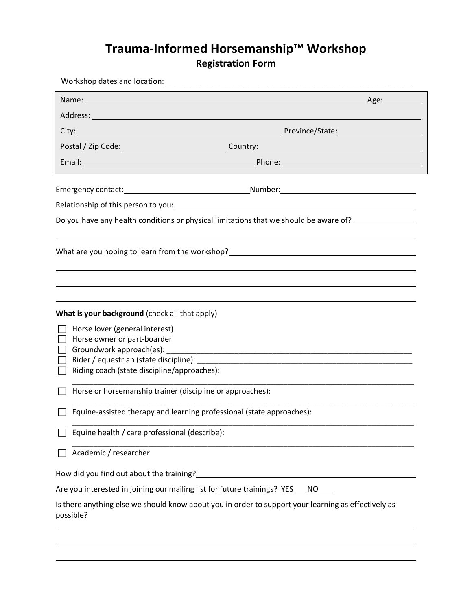# **Trauma-Informed Horsemanship™ Workshop Registration Form**

|                                                                | Do you have any health conditions or physical limitations that we should be aware of?                         |
|----------------------------------------------------------------|---------------------------------------------------------------------------------------------------------------|
|                                                                | What are you hoping to learn from the workshop?__________________________________                             |
|                                                                |                                                                                                               |
| What is your background (check all that apply)                 |                                                                                                               |
| Horse lover (general interest)                                 |                                                                                                               |
| Horse owner or part-boarder<br>Groundwork approach(es): [1996] |                                                                                                               |
|                                                                |                                                                                                               |
|                                                                |                                                                                                               |
| Riding coach (state discipline/approaches):                    |                                                                                                               |
| Horse or horsemanship trainer (discipline or approaches):      |                                                                                                               |
|                                                                | Equine-assisted therapy and learning professional (state approaches):                                         |
| Equine health / care professional (describe):                  |                                                                                                               |
| Academic / researcher                                          |                                                                                                               |
|                                                                | How did you find out about the training?<br>Managem and the summary contract to the training of the training? |
|                                                                | Are you interested in joining our mailing list for future trainings? YES __ NO___                             |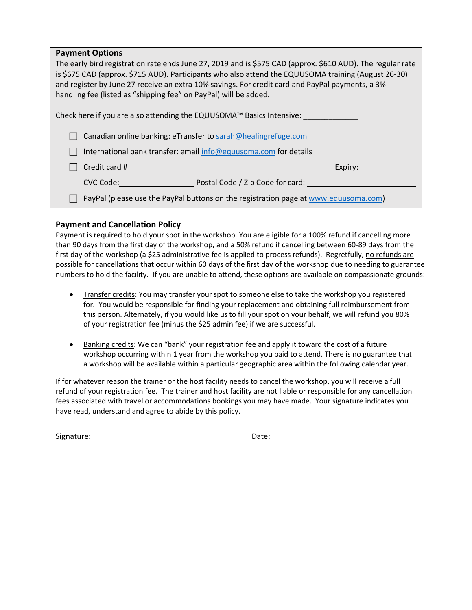| <b>Payment Options</b>                                                                                                                                                                                                                                                                                                                                                                   |  |  |  |  |
|------------------------------------------------------------------------------------------------------------------------------------------------------------------------------------------------------------------------------------------------------------------------------------------------------------------------------------------------------------------------------------------|--|--|--|--|
| The early bird registration rate ends June 27, 2019 and is \$575 CAD (approx. \$610 AUD). The regular rate<br>is \$675 CAD (approx. \$715 AUD). Participants who also attend the EQUUSOMA training (August 26-30)<br>and register by June 27 receive an extra 10% savings. For credit card and PayPal payments, a 3%<br>handling fee (listed as "shipping fee" on PayPal) will be added. |  |  |  |  |
| Check here if you are also attending the EQUUSOMA™ Basics Intensive:                                                                                                                                                                                                                                                                                                                     |  |  |  |  |
| Canadian online banking: eTransfer to sarah@healingrefuge.com                                                                                                                                                                                                                                                                                                                            |  |  |  |  |
| International bank transfer: email info@equusoma.com for details                                                                                                                                                                                                                                                                                                                         |  |  |  |  |
| Credit card #<br>Expiry:                                                                                                                                                                                                                                                                                                                                                                 |  |  |  |  |
| Postal Code / Zip Code for card:<br>CVC Code:                                                                                                                                                                                                                                                                                                                                            |  |  |  |  |
| PayPal (please use the PayPal buttons on the registration page at www.equusoma.com)                                                                                                                                                                                                                                                                                                      |  |  |  |  |

### **Payment and Cancellation Policy**

Payment is required to hold your spot in the workshop. You are eligible for a 100% refund if cancelling more than 90 days from the first day of the workshop, and a 50% refund if cancelling between 60-89 days from the first day of the workshop (a \$25 administrative fee is applied to process refunds). Regretfully, no refunds are possible for cancellations that occur within 60 days of the first day of the workshop due to needing to guarantee numbers to hold the facility. If you are unable to attend, these options are available on compassionate grounds:

- Transfer credits: You may transfer your spot to someone else to take the workshop you registered for. You would be responsible for finding your replacement and obtaining full reimbursement from this person. Alternately, if you would like us to fill your spot on your behalf, we will refund you 80% of your registration fee (minus the \$25 admin fee) if we are successful.
- Banking credits: We can "bank" your registration fee and apply it toward the cost of a future workshop occurring within 1 year from the workshop you paid to attend. There is no guarantee that a workshop will be available within a particular geographic area within the following calendar year.

If for whatever reason the trainer or the host facility needs to cancel the workshop, you will receive a full refund of your registration fee. The trainer and host facility are not liable or responsible for any cancellation fees associated with travel or accommodations bookings you may have made. Your signature indicates you have read, understand and agree to abide by this policy.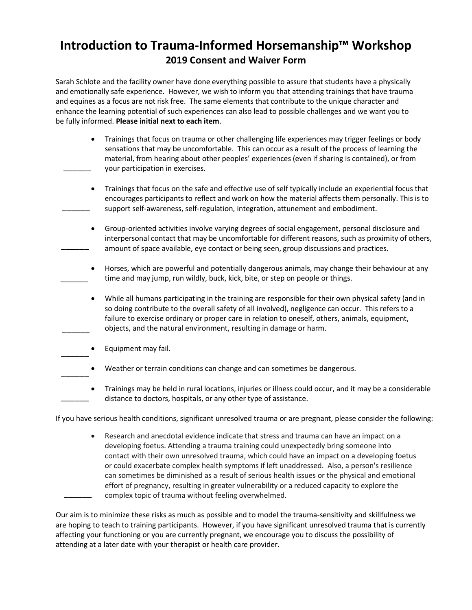## **Introduction to Trauma-Informed Horsemanship™ Workshop 2019 Consent and Waiver Form**

Sarah Schlote and the facility owner have done everything possible to assure that students have a physically and emotionally safe experience. However, we wish to inform you that attending trainings that have trauma and equines as a focus are not risk free. The same elements that contribute to the unique character and enhance the learning potential of such experiences can also lead to possible challenges and we want you to be fully informed. **Please initial next to each item**.

- Trainings that focus on trauma or other challenging life experiences may trigger feelings or body sensations that may be uncomfortable. This can occur as a result of the process of learning the material, from hearing about other peoples' experiences (even if sharing is contained), or from your participation in exercises.  $\overline{\phantom{a}}$
- Trainings that focus on the safe and effective use of self typically include an experiential focus that encourages participants to reflect and work on how the material affects them personally. This is to support self-awareness, self-regulation, integration, attunement and embodiment.  $\overline{\phantom{a}}$
- Group-oriented activities involve varying degrees of social engagement, personal disclosure and interpersonal contact that may be uncomfortable for different reasons, such as proximity of others, amount of space available, eye contact or being seen, group discussions and practices.  $\overline{\phantom{a}}$
- Horses, which are powerful and potentially dangerous animals, may change their behaviour at any time and may jump, run wildly, buck, kick, bite, or step on people or things.  $\overline{\phantom{a}}$
- While all humans participating in the training are responsible for their own physical safety (and in so doing contribute to the overall safety of all involved), negligence can occur. This refers to a failure to exercise ordinary or proper care in relation to oneself, others, animals, equipment, objects, and the natural environment, resulting in damage or harm.  $\overline{\phantom{a}}$
- Equipment may fail.  $\overline{\phantom{a}}$
- Weather or terrain conditions can change and can sometimes be dangerous.  $\overline{\phantom{a}}$
- Trainings may be held in rural locations, injuries or illness could occur, and it may be a considerable distance to doctors, hospitals, or any other type of assistance.  $\overline{\phantom{a}}$

If you have serious health conditions, significant unresolved trauma or are pregnant, please consider the following:

• Research and anecdotal evidence indicate that stress and trauma can have an impact on a developing foetus. Attending a trauma training could unexpectedly bring someone into contact with their own unresolved trauma, which could have an impact on a developing foetus or could exacerbate complex health symptoms if left unaddressed. Also, a person's resilience can sometimes be diminished as a result of serious health issues or the physical and emotional effort of pregnancy, resulting in greater vulnerability or a reduced capacity to explore the complex topic of trauma without feeling overwhelmed.  $\overline{\phantom{a}}$ 

Our aim is to minimize these risks as much as possible and to model the trauma-sensitivity and skillfulness we are hoping to teach to training participants. However, if you have significant unresolved trauma that is currently affecting your functioning or you are currently pregnant, we encourage you to discuss the possibility of attending at a later date with your therapist or health care provider.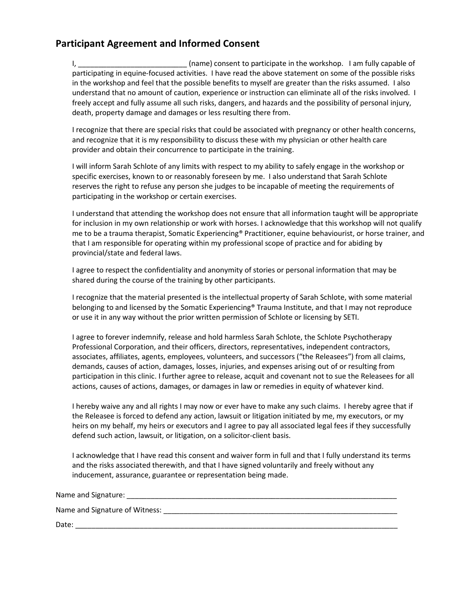## **Participant Agreement and Informed Consent**

I, \_\_\_\_\_\_\_\_\_\_\_\_\_\_\_\_\_\_\_\_\_\_\_\_\_\_\_ (name) consent to participate in the workshop.I am fully capable of participating in equine-focused activities. I have read the above statement on some of the possible risks in the workshop and feel that the possible benefits to myself are greater than the risks assumed. I also understand that no amount of caution, experience or instruction can eliminate all of the risks involved. I freely accept and fully assume all such risks, dangers, and hazards and the possibility of personal injury, death, property damage and damages or less resulting there from.

I recognize that there are special risks that could be associated with pregnancy or other health concerns, and recognize that it is my responsibility to discuss these with my physician or other health care provider and obtain their concurrence to participate in the training.

I will inform Sarah Schlote of any limits with respect to my ability to safely engage in the workshop or specific exercises, known to or reasonably foreseen by me. I also understand that Sarah Schlote reserves the right to refuse any person she judges to be incapable of meeting the requirements of participating in the workshop or certain exercises.

I understand that attending the workshop does not ensure that all information taught will be appropriate for inclusion in my own relationship or work with horses. I acknowledge that this workshop will not qualify me to be a trauma therapist, Somatic Experiencing<sup>®</sup> Practitioner, equine behaviourist, or horse trainer, and that I am responsible for operating within my professional scope of practice and for abiding by provincial/state and federal laws.

I agree to respect the confidentiality and anonymity of stories or personal information that may be shared during the course of the training by other participants.

I recognize that the material presented is the intellectual property of Sarah Schlote, with some material belonging to and licensed by the Somatic Experiencing® Trauma Institute, and that I may not reproduce or use it in any way without the prior written permission of Schlote or licensing by SETI.

I agree to forever indemnify, release and hold harmless Sarah Schlote, the Schlote Psychotherapy Professional Corporation, and their officers, directors, representatives, independent contractors, associates, affiliates, agents, employees, volunteers, and successors ("the Releasees") from all claims, demands, causes of action, damages, losses, injuries, and expenses arising out of or resulting from participation in this clinic. I further agree to release, acquit and covenant not to sue the Releasees for all actions, causes of actions, damages, or damages in law or remedies in equity of whatever kind.

I hereby waive any and all rights I may now or ever have to make any such claims. I hereby agree that if the Releasee is forced to defend any action, lawsuit or litigation initiated by me, my executors, or my heirs on my behalf, my heirs or executors and I agree to pay all associated legal fees if they successfully defend such action, lawsuit, or litigation, on a solicitor-client basis.

I acknowledge that I have read this consent and waiver form in full and that I fully understand its terms and the risks associated therewith, and that I have signed voluntarily and freely without any inducement, assurance, guarantee or representation being made.

Name and Signature:

Name and Signature of Witness:

Date: \_\_\_\_\_\_\_\_\_\_\_\_\_\_\_\_\_\_\_\_\_\_\_\_\_\_\_\_\_\_\_\_\_\_\_\_\_\_\_\_\_\_\_\_\_\_\_\_\_\_\_\_\_\_\_\_\_\_\_\_\_\_\_\_\_\_\_\_\_\_\_\_\_\_\_\_\_\_\_\_